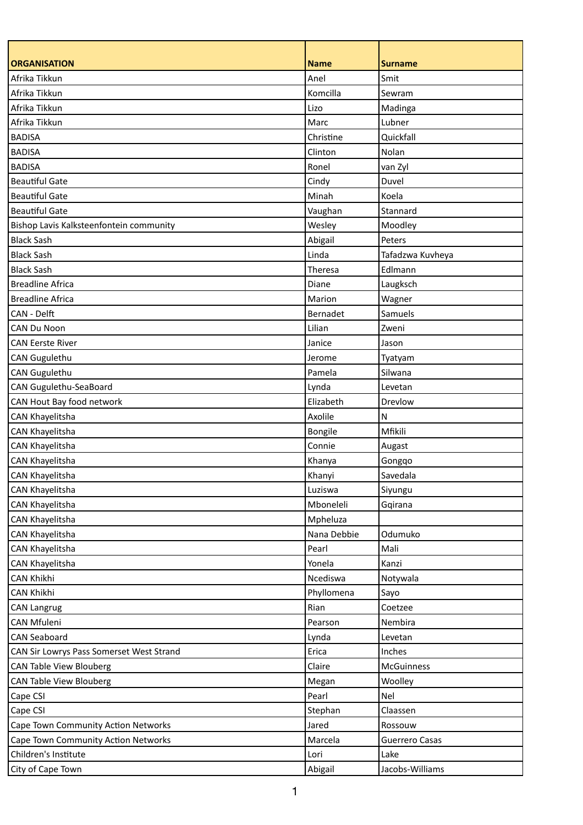| <b>ORGANISATION</b>                      | <b>Name</b> | <b>Surname</b>   |
|------------------------------------------|-------------|------------------|
| Afrika Tikkun                            | Anel        | Smit             |
| Afrika Tikkun                            | Komcilla    | Sewram           |
| Afrika Tikkun                            | Lizo        | Madinga          |
| Afrika Tikkun                            | Marc        | Lubner           |
| <b>BADISA</b>                            | Christine   | Quickfall        |
| <b>BADISA</b>                            | Clinton     | Nolan            |
| <b>BADISA</b>                            | Ronel       | van Zyl          |
| <b>Beautiful Gate</b>                    | Cindy       | Duvel            |
| <b>Beautiful Gate</b>                    | Minah       | Koela            |
| <b>Beautiful Gate</b>                    | Vaughan     | Stannard         |
| Bishop Lavis Kalksteenfontein community  | Wesley      | Moodley          |
| <b>Black Sash</b>                        | Abigail     | Peters           |
| <b>Black Sash</b>                        | Linda       | Tafadzwa Kuvheya |
| <b>Black Sash</b>                        | Theresa     | Edlmann          |
| <b>Breadline Africa</b>                  | Diane       | Laugksch         |
| <b>Breadline Africa</b>                  | Marion      | Wagner           |
| CAN - Delft                              | Bernadet    | Samuels          |
| CAN Du Noon                              | Lilian      | Zweni            |
| <b>CAN Eerste River</b>                  | Janice      | Jason            |
| <b>CAN Gugulethu</b>                     | Jerome      | Tyatyam          |
| <b>CAN Gugulethu</b>                     | Pamela      | Silwana          |
| CAN Gugulethu-SeaBoard                   | Lynda       | Levetan          |
| CAN Hout Bay food network                | Elizabeth   | Drevlow          |
| CAN Khayelitsha                          | Axolile     | N                |
| CAN Khayelitsha                          | Bongile     | Mfikili          |
| CAN Khayelitsha                          | Connie      | Augast           |
| CAN Khayelitsha                          | Khanya      | Gongqo           |
| CAN Khayelitsha                          | Khanyi      | Savedala         |
| CAN Khayelitsha                          | Luziswa     | Siyungu          |
| CAN Khayelitsha                          | Mboneleli   | Gqirana          |
| CAN Khayelitsha                          | Mpheluza    |                  |
| CAN Khayelitsha                          | Nana Debbie | Odumuko          |
| <b>CAN Khayelitsha</b>                   | Pearl       | Mali             |
| CAN Khayelitsha                          | Yonela      | Kanzi            |
| <b>CAN Khikhi</b>                        | Ncediswa    | Notywala         |
| <b>CAN Khikhi</b>                        | Phyllomena  | Sayo             |
| <b>CAN Langrug</b>                       | Rian        | Coetzee          |
| CAN Mfuleni                              | Pearson     | Nembira          |
| <b>CAN Seaboard</b>                      | Lynda       | Levetan          |
| CAN Sir Lowrys Pass Somerset West Strand | Erica       | Inches           |
| <b>CAN Table View Blouberg</b>           | Claire      | McGuinness       |
| <b>CAN Table View Blouberg</b>           | Megan       | Woolley          |
| Cape CSI                                 | Pearl       | Nel              |
| Cape CSI                                 | Stephan     | Claassen         |
| Cape Town Community Action Networks      | Jared       | Rossouw          |
| Cape Town Community Action Networks      | Marcela     | Guerrero Casas   |
| Children's Institute                     | Lori        | Lake             |
| City of Cape Town                        | Abigail     | Jacobs-Williams  |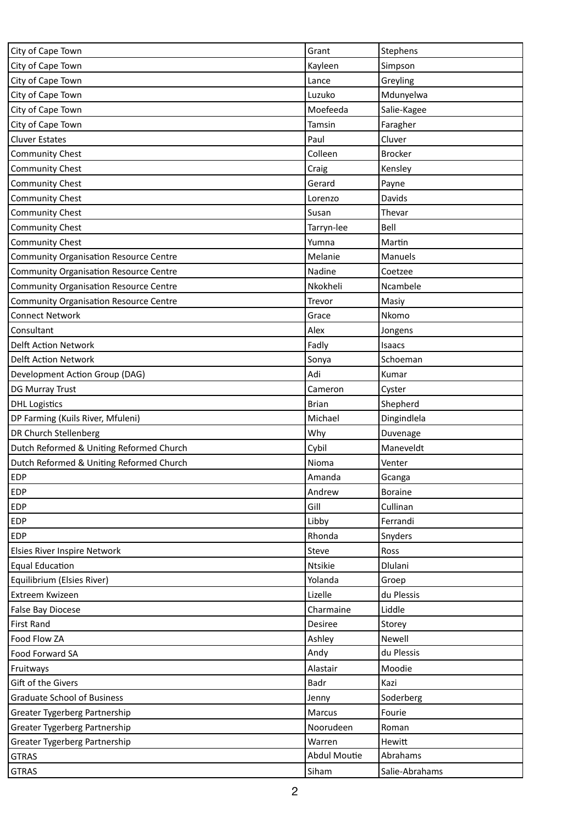| City of Cape Town                             | Grant               | Stephens       |
|-----------------------------------------------|---------------------|----------------|
| City of Cape Town                             | Kayleen             | Simpson        |
| City of Cape Town                             | Lance               | Greyling       |
| City of Cape Town                             | Luzuko              | Mdunyelwa      |
| City of Cape Town                             | Moefeeda            | Salie-Kagee    |
| City of Cape Town                             | Tamsin              | Faragher       |
| <b>Cluver Estates</b>                         | Paul                | Cluver         |
| <b>Community Chest</b>                        | Colleen             | <b>Brocker</b> |
| <b>Community Chest</b>                        | Craig               | Kensley        |
| <b>Community Chest</b>                        | Gerard              | Payne          |
| <b>Community Chest</b>                        | Lorenzo             | Davids         |
| <b>Community Chest</b>                        | Susan               | Thevar         |
| <b>Community Chest</b>                        | Tarryn-lee          | Bell           |
| <b>Community Chest</b>                        | Yumna               | Martin         |
| <b>Community Organisation Resource Centre</b> | Melanie             | Manuels        |
| <b>Community Organisation Resource Centre</b> | Nadine              | Coetzee        |
| <b>Community Organisation Resource Centre</b> | Nkokheli            | Ncambele       |
| <b>Community Organisation Resource Centre</b> | Trevor              | Masiy          |
| <b>Connect Network</b>                        | Grace               | Nkomo          |
| Consultant                                    | Alex                | Jongens        |
| <b>Delft Action Network</b>                   | Fadly               | Isaacs         |
| <b>Delft Action Network</b>                   | Sonya               | Schoeman       |
| Development Action Group (DAG)                | Adi                 | Kumar          |
| DG Murray Trust                               | Cameron             | Cyster         |
| <b>DHL Logistics</b>                          | <b>Brian</b>        | Shepherd       |
| DP Farming (Kuils River, Mfuleni)             | Michael             | Dingindlela    |
| DR Church Stellenberg                         | Why                 | Duvenage       |
| Dutch Reformed & Uniting Reformed Church      | Cybil               | Maneveldt      |
| Dutch Reformed & Uniting Reformed Church      | Nioma               | Venter         |
| <b>EDP</b>                                    | Amanda              | Gcanga         |
| <b>EDP</b>                                    | Andrew              | <b>Boraine</b> |
| <b>EDP</b>                                    | Gill                | Cullinan       |
| <b>EDP</b>                                    | Libby               | Ferrandi       |
| <b>EDP</b>                                    | Rhonda              | Snyders        |
| Elsies River Inspire Network                  | Steve               | Ross           |
| <b>Equal Education</b>                        | Ntsikie             | Dlulani        |
| Equilibrium (Elsies River)                    | Yolanda             | Groep          |
| Extreem Kwizeen                               | Lizelle             | du Plessis     |
| False Bay Diocese                             | Charmaine           | Liddle         |
| <b>First Rand</b>                             | Desiree             | Storey         |
| Food Flow ZA                                  | Ashley              | Newell         |
| Food Forward SA                               | Andy                | du Plessis     |
| Fruitways                                     | Alastair            | Moodie         |
| Gift of the Givers                            | <b>Badr</b>         | Kazi           |
| <b>Graduate School of Business</b>            | Jenny               | Soderberg      |
| Greater Tygerberg Partnership                 | Marcus              | Fourie         |
| Greater Tygerberg Partnership                 | Noorudeen           | Roman          |
| Greater Tygerberg Partnership                 | Warren              | Hewitt         |
| <b>GTRAS</b>                                  | <b>Abdul Moutie</b> | Abrahams       |
| <b>GTRAS</b>                                  | Siham               | Salie-Abrahams |
|                                               |                     |                |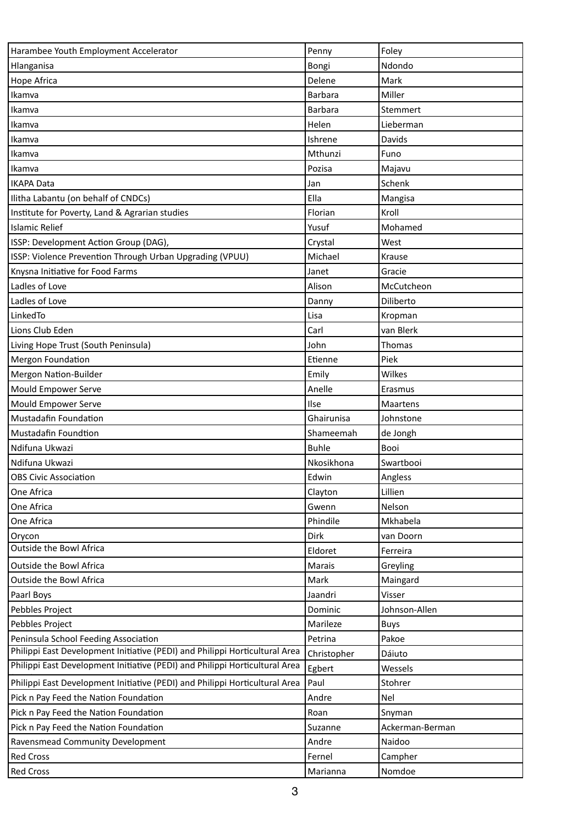| Harambee Youth Employment Accelerator                                       | Penny          | Foley           |
|-----------------------------------------------------------------------------|----------------|-----------------|
| Hlanganisa                                                                  | Bongi          | Ndondo          |
| Hope Africa                                                                 | Delene         | Mark            |
| Ikamva                                                                      | <b>Barbara</b> | Miller          |
| Ikamva                                                                      | <b>Barbara</b> | Stemmert        |
| Ikamva                                                                      | Helen          | Lieberman       |
| Ikamva                                                                      | Ishrene        | Davids          |
| Ikamva                                                                      | Mthunzi        | Funo            |
| Ikamva                                                                      | Pozisa         | Majavu          |
| <b>IKAPA Data</b>                                                           | Jan            | Schenk          |
| Ilitha Labantu (on behalf of CNDCs)                                         | Ella           | Mangisa         |
| Institute for Poverty, Land & Agrarian studies                              | Florian        | Kroll           |
| Islamic Relief                                                              | Yusuf          | Mohamed         |
| ISSP: Development Action Group (DAG),                                       | Crystal        | West            |
| ISSP: Violence Prevention Through Urban Upgrading (VPUU)                    | Michael        | Krause          |
| Knysna Initiative for Food Farms                                            | Janet          | Gracie          |
| Ladles of Love                                                              | Alison         | McCutcheon      |
| Ladles of Love                                                              | Danny          | Diliberto       |
| LinkedTo                                                                    | Lisa           | Kropman         |
| Lions Club Eden                                                             | Carl           | van Blerk       |
| Living Hope Trust (South Peninsula)                                         | John           | Thomas          |
| <b>Mergon Foundation</b>                                                    | Etienne        | Piek            |
| Mergon Nation-Builder                                                       | Emily          | Wilkes          |
| Mould Empower Serve                                                         | Anelle         | Erasmus         |
| Mould Empower Serve                                                         | Ilse           | Maartens        |
| Mustadafin Foundation                                                       | Ghairunisa     | Johnstone       |
| Mustadafin Foundtion                                                        | Shameemah      | de Jongh        |
| Ndifuna Ukwazi                                                              | <b>Buhle</b>   | Booi            |
| Ndifuna Ukwazi                                                              | Nkosikhona     | Swartbooi       |
| <b>OBS Civic Association</b>                                                | Edwin          | Angless         |
| One Africa                                                                  | Clayton        | Lillien         |
| One Africa                                                                  | Gwenn          | Nelson          |
| One Africa                                                                  | Phindile       | Mkhabela        |
| Orycon                                                                      | Dirk           | van Doorn       |
| Outside the Bowl Africa                                                     | Eldoret        | Ferreira        |
| Outside the Bowl Africa                                                     | Marais         | Greyling        |
| Outside the Bowl Africa                                                     | Mark           | Maingard        |
| Paarl Boys                                                                  | Jaandri        | Visser          |
| Pebbles Project                                                             | Dominic        | Johnson-Allen   |
| Pebbles Project                                                             | Marileze       | <b>Buys</b>     |
| Peninsula School Feeding Association                                        | Petrina        | Pakoe           |
| Philippi East Development Initiative (PEDI) and Philippi Horticultural Area | Christopher    | Dáiuto          |
| Philippi East Development Initiative (PEDI) and Philippi Horticultural Area | Egbert         | Wessels         |
| Philippi East Development Initiative (PEDI) and Philippi Horticultural Area | Paul           | Stohrer         |
| Pick n Pay Feed the Nation Foundation                                       | Andre          | Nel             |
| Pick n Pay Feed the Nation Foundation                                       | Roan           | Snyman          |
| Pick n Pay Feed the Nation Foundation                                       | Suzanne        | Ackerman-Berman |
| Ravensmead Community Development                                            | Andre          | Naidoo          |
| <b>Red Cross</b>                                                            | Fernel         | Campher         |
| <b>Red Cross</b>                                                            | Marianna       | Nomdoe          |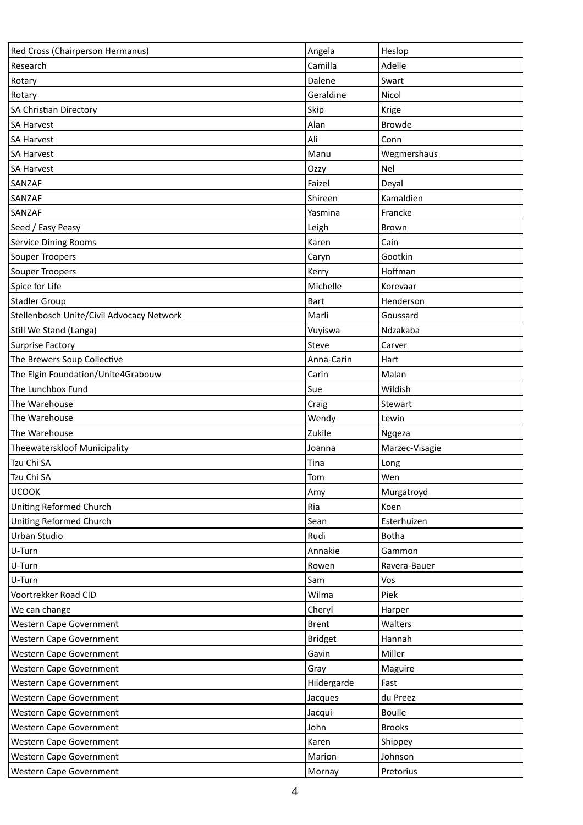| Red Cross (Chairperson Hermanus)<br>Angela<br>Heslop<br>Camilla<br>Adelle<br>Research<br>Dalene<br>Swart<br>Rotary<br>Geraldine<br>Nicol<br>Rotary<br>Skip<br>SA Christian Directory<br>Krige<br><b>SA Harvest</b><br>Alan<br><b>Browde</b><br><b>SA Harvest</b><br>Ali<br>Conn<br>Wegmershaus<br><b>SA Harvest</b><br>Manu<br><b>SA Harvest</b><br>Nel<br>Ozzy<br>Faizel<br>SANZAF<br>Deyal<br>SANZAF<br>Kamaldien<br>Shireen<br>Francke<br>SANZAF<br>Yasmina<br>Seed / Easy Peasy<br>Leigh<br>Brown<br>Service Dining Rooms<br>Karen<br>Cain<br>Gootkin<br>Souper Troopers<br>Caryn<br>Hoffman<br>Souper Troopers<br>Kerry<br>Michelle<br>Spice for Life<br>Korevaar<br><b>Stadler Group</b><br>Henderson<br><b>Bart</b><br>Stellenbosch Unite/Civil Advocacy Network<br>Marli<br>Goussard<br>Ndzakaba<br>Still We Stand (Langa)<br>Vuyiswa<br>Surprise Factory<br>Steve<br>Carver<br>The Brewers Soup Collective<br>Anna-Carin<br>Hart<br>The Elgin Foundation/Unite4Grabouw<br>Carin<br>Malan<br>The Lunchbox Fund<br>Sue<br>Wildish<br>The Warehouse<br>Craig<br>Stewart<br>The Warehouse<br>Wendy<br>Lewin<br>Zukile<br>The Warehouse<br>Ngqeza<br>Marzec-Visagie<br>Theewaterskloof Municipality<br>Joanna<br>Tzu Chi SA<br>Tina<br>Long<br>Wen<br>Tzu Chi SA<br>Tom<br><b>UCOOK</b><br>Amy<br>Murgatroyd<br>Uniting Reformed Church<br>Koen<br>Ria<br>Uniting Reformed Church<br>Esterhuizen<br>Sean<br>Urban Studio<br>Rudi<br>Botha<br>U-Turn<br>Annakie<br>Gammon<br>Ravera-Bauer<br>U-Turn<br>Rowen<br>Vos<br>U-Turn<br>Sam<br>Wilma<br>Piek<br>Voortrekker Road CID<br>We can change<br>Cheryl<br>Harper<br>Western Cape Government<br>Walters<br><b>Brent</b><br>Western Cape Government<br>Hannah<br><b>Bridget</b><br>Western Cape Government<br>Miller<br>Gavin<br>Western Cape Government<br>Maguire<br>Gray<br>Hildergarde<br>Western Cape Government<br>Fast<br>Western Cape Government<br>du Preez<br>Jacques<br>Western Cape Government<br><b>Boulle</b><br>Jacqui<br>John<br><b>Brooks</b><br>Western Cape Government<br><b>Western Cape Government</b><br>Karen<br>Shippey<br>Johnson<br>Western Cape Government<br>Marion<br>Western Cape Government<br>Pretorius<br>Mornay |  |  |
|------------------------------------------------------------------------------------------------------------------------------------------------------------------------------------------------------------------------------------------------------------------------------------------------------------------------------------------------------------------------------------------------------------------------------------------------------------------------------------------------------------------------------------------------------------------------------------------------------------------------------------------------------------------------------------------------------------------------------------------------------------------------------------------------------------------------------------------------------------------------------------------------------------------------------------------------------------------------------------------------------------------------------------------------------------------------------------------------------------------------------------------------------------------------------------------------------------------------------------------------------------------------------------------------------------------------------------------------------------------------------------------------------------------------------------------------------------------------------------------------------------------------------------------------------------------------------------------------------------------------------------------------------------------------------------------------------------------------------------------------------------------------------------------------------------------------------------------------------------------------------------------------------------------------------------------------------------------------------------------------------------------------------------------------------------------------------------------------------------------------------------------------------------------------------------------------------|--|--|
|                                                                                                                                                                                                                                                                                                                                                                                                                                                                                                                                                                                                                                                                                                                                                                                                                                                                                                                                                                                                                                                                                                                                                                                                                                                                                                                                                                                                                                                                                                                                                                                                                                                                                                                                                                                                                                                                                                                                                                                                                                                                                                                                                                                                      |  |  |
|                                                                                                                                                                                                                                                                                                                                                                                                                                                                                                                                                                                                                                                                                                                                                                                                                                                                                                                                                                                                                                                                                                                                                                                                                                                                                                                                                                                                                                                                                                                                                                                                                                                                                                                                                                                                                                                                                                                                                                                                                                                                                                                                                                                                      |  |  |
|                                                                                                                                                                                                                                                                                                                                                                                                                                                                                                                                                                                                                                                                                                                                                                                                                                                                                                                                                                                                                                                                                                                                                                                                                                                                                                                                                                                                                                                                                                                                                                                                                                                                                                                                                                                                                                                                                                                                                                                                                                                                                                                                                                                                      |  |  |
|                                                                                                                                                                                                                                                                                                                                                                                                                                                                                                                                                                                                                                                                                                                                                                                                                                                                                                                                                                                                                                                                                                                                                                                                                                                                                                                                                                                                                                                                                                                                                                                                                                                                                                                                                                                                                                                                                                                                                                                                                                                                                                                                                                                                      |  |  |
|                                                                                                                                                                                                                                                                                                                                                                                                                                                                                                                                                                                                                                                                                                                                                                                                                                                                                                                                                                                                                                                                                                                                                                                                                                                                                                                                                                                                                                                                                                                                                                                                                                                                                                                                                                                                                                                                                                                                                                                                                                                                                                                                                                                                      |  |  |
|                                                                                                                                                                                                                                                                                                                                                                                                                                                                                                                                                                                                                                                                                                                                                                                                                                                                                                                                                                                                                                                                                                                                                                                                                                                                                                                                                                                                                                                                                                                                                                                                                                                                                                                                                                                                                                                                                                                                                                                                                                                                                                                                                                                                      |  |  |
|                                                                                                                                                                                                                                                                                                                                                                                                                                                                                                                                                                                                                                                                                                                                                                                                                                                                                                                                                                                                                                                                                                                                                                                                                                                                                                                                                                                                                                                                                                                                                                                                                                                                                                                                                                                                                                                                                                                                                                                                                                                                                                                                                                                                      |  |  |
|                                                                                                                                                                                                                                                                                                                                                                                                                                                                                                                                                                                                                                                                                                                                                                                                                                                                                                                                                                                                                                                                                                                                                                                                                                                                                                                                                                                                                                                                                                                                                                                                                                                                                                                                                                                                                                                                                                                                                                                                                                                                                                                                                                                                      |  |  |
|                                                                                                                                                                                                                                                                                                                                                                                                                                                                                                                                                                                                                                                                                                                                                                                                                                                                                                                                                                                                                                                                                                                                                                                                                                                                                                                                                                                                                                                                                                                                                                                                                                                                                                                                                                                                                                                                                                                                                                                                                                                                                                                                                                                                      |  |  |
|                                                                                                                                                                                                                                                                                                                                                                                                                                                                                                                                                                                                                                                                                                                                                                                                                                                                                                                                                                                                                                                                                                                                                                                                                                                                                                                                                                                                                                                                                                                                                                                                                                                                                                                                                                                                                                                                                                                                                                                                                                                                                                                                                                                                      |  |  |
|                                                                                                                                                                                                                                                                                                                                                                                                                                                                                                                                                                                                                                                                                                                                                                                                                                                                                                                                                                                                                                                                                                                                                                                                                                                                                                                                                                                                                                                                                                                                                                                                                                                                                                                                                                                                                                                                                                                                                                                                                                                                                                                                                                                                      |  |  |
|                                                                                                                                                                                                                                                                                                                                                                                                                                                                                                                                                                                                                                                                                                                                                                                                                                                                                                                                                                                                                                                                                                                                                                                                                                                                                                                                                                                                                                                                                                                                                                                                                                                                                                                                                                                                                                                                                                                                                                                                                                                                                                                                                                                                      |  |  |
|                                                                                                                                                                                                                                                                                                                                                                                                                                                                                                                                                                                                                                                                                                                                                                                                                                                                                                                                                                                                                                                                                                                                                                                                                                                                                                                                                                                                                                                                                                                                                                                                                                                                                                                                                                                                                                                                                                                                                                                                                                                                                                                                                                                                      |  |  |
|                                                                                                                                                                                                                                                                                                                                                                                                                                                                                                                                                                                                                                                                                                                                                                                                                                                                                                                                                                                                                                                                                                                                                                                                                                                                                                                                                                                                                                                                                                                                                                                                                                                                                                                                                                                                                                                                                                                                                                                                                                                                                                                                                                                                      |  |  |
|                                                                                                                                                                                                                                                                                                                                                                                                                                                                                                                                                                                                                                                                                                                                                                                                                                                                                                                                                                                                                                                                                                                                                                                                                                                                                                                                                                                                                                                                                                                                                                                                                                                                                                                                                                                                                                                                                                                                                                                                                                                                                                                                                                                                      |  |  |
|                                                                                                                                                                                                                                                                                                                                                                                                                                                                                                                                                                                                                                                                                                                                                                                                                                                                                                                                                                                                                                                                                                                                                                                                                                                                                                                                                                                                                                                                                                                                                                                                                                                                                                                                                                                                                                                                                                                                                                                                                                                                                                                                                                                                      |  |  |
|                                                                                                                                                                                                                                                                                                                                                                                                                                                                                                                                                                                                                                                                                                                                                                                                                                                                                                                                                                                                                                                                                                                                                                                                                                                                                                                                                                                                                                                                                                                                                                                                                                                                                                                                                                                                                                                                                                                                                                                                                                                                                                                                                                                                      |  |  |
|                                                                                                                                                                                                                                                                                                                                                                                                                                                                                                                                                                                                                                                                                                                                                                                                                                                                                                                                                                                                                                                                                                                                                                                                                                                                                                                                                                                                                                                                                                                                                                                                                                                                                                                                                                                                                                                                                                                                                                                                                                                                                                                                                                                                      |  |  |
|                                                                                                                                                                                                                                                                                                                                                                                                                                                                                                                                                                                                                                                                                                                                                                                                                                                                                                                                                                                                                                                                                                                                                                                                                                                                                                                                                                                                                                                                                                                                                                                                                                                                                                                                                                                                                                                                                                                                                                                                                                                                                                                                                                                                      |  |  |
|                                                                                                                                                                                                                                                                                                                                                                                                                                                                                                                                                                                                                                                                                                                                                                                                                                                                                                                                                                                                                                                                                                                                                                                                                                                                                                                                                                                                                                                                                                                                                                                                                                                                                                                                                                                                                                                                                                                                                                                                                                                                                                                                                                                                      |  |  |
|                                                                                                                                                                                                                                                                                                                                                                                                                                                                                                                                                                                                                                                                                                                                                                                                                                                                                                                                                                                                                                                                                                                                                                                                                                                                                                                                                                                                                                                                                                                                                                                                                                                                                                                                                                                                                                                                                                                                                                                                                                                                                                                                                                                                      |  |  |
|                                                                                                                                                                                                                                                                                                                                                                                                                                                                                                                                                                                                                                                                                                                                                                                                                                                                                                                                                                                                                                                                                                                                                                                                                                                                                                                                                                                                                                                                                                                                                                                                                                                                                                                                                                                                                                                                                                                                                                                                                                                                                                                                                                                                      |  |  |
|                                                                                                                                                                                                                                                                                                                                                                                                                                                                                                                                                                                                                                                                                                                                                                                                                                                                                                                                                                                                                                                                                                                                                                                                                                                                                                                                                                                                                                                                                                                                                                                                                                                                                                                                                                                                                                                                                                                                                                                                                                                                                                                                                                                                      |  |  |
|                                                                                                                                                                                                                                                                                                                                                                                                                                                                                                                                                                                                                                                                                                                                                                                                                                                                                                                                                                                                                                                                                                                                                                                                                                                                                                                                                                                                                                                                                                                                                                                                                                                                                                                                                                                                                                                                                                                                                                                                                                                                                                                                                                                                      |  |  |
|                                                                                                                                                                                                                                                                                                                                                                                                                                                                                                                                                                                                                                                                                                                                                                                                                                                                                                                                                                                                                                                                                                                                                                                                                                                                                                                                                                                                                                                                                                                                                                                                                                                                                                                                                                                                                                                                                                                                                                                                                                                                                                                                                                                                      |  |  |
|                                                                                                                                                                                                                                                                                                                                                                                                                                                                                                                                                                                                                                                                                                                                                                                                                                                                                                                                                                                                                                                                                                                                                                                                                                                                                                                                                                                                                                                                                                                                                                                                                                                                                                                                                                                                                                                                                                                                                                                                                                                                                                                                                                                                      |  |  |
|                                                                                                                                                                                                                                                                                                                                                                                                                                                                                                                                                                                                                                                                                                                                                                                                                                                                                                                                                                                                                                                                                                                                                                                                                                                                                                                                                                                                                                                                                                                                                                                                                                                                                                                                                                                                                                                                                                                                                                                                                                                                                                                                                                                                      |  |  |
|                                                                                                                                                                                                                                                                                                                                                                                                                                                                                                                                                                                                                                                                                                                                                                                                                                                                                                                                                                                                                                                                                                                                                                                                                                                                                                                                                                                                                                                                                                                                                                                                                                                                                                                                                                                                                                                                                                                                                                                                                                                                                                                                                                                                      |  |  |
|                                                                                                                                                                                                                                                                                                                                                                                                                                                                                                                                                                                                                                                                                                                                                                                                                                                                                                                                                                                                                                                                                                                                                                                                                                                                                                                                                                                                                                                                                                                                                                                                                                                                                                                                                                                                                                                                                                                                                                                                                                                                                                                                                                                                      |  |  |
|                                                                                                                                                                                                                                                                                                                                                                                                                                                                                                                                                                                                                                                                                                                                                                                                                                                                                                                                                                                                                                                                                                                                                                                                                                                                                                                                                                                                                                                                                                                                                                                                                                                                                                                                                                                                                                                                                                                                                                                                                                                                                                                                                                                                      |  |  |
|                                                                                                                                                                                                                                                                                                                                                                                                                                                                                                                                                                                                                                                                                                                                                                                                                                                                                                                                                                                                                                                                                                                                                                                                                                                                                                                                                                                                                                                                                                                                                                                                                                                                                                                                                                                                                                                                                                                                                                                                                                                                                                                                                                                                      |  |  |
|                                                                                                                                                                                                                                                                                                                                                                                                                                                                                                                                                                                                                                                                                                                                                                                                                                                                                                                                                                                                                                                                                                                                                                                                                                                                                                                                                                                                                                                                                                                                                                                                                                                                                                                                                                                                                                                                                                                                                                                                                                                                                                                                                                                                      |  |  |
|                                                                                                                                                                                                                                                                                                                                                                                                                                                                                                                                                                                                                                                                                                                                                                                                                                                                                                                                                                                                                                                                                                                                                                                                                                                                                                                                                                                                                                                                                                                                                                                                                                                                                                                                                                                                                                                                                                                                                                                                                                                                                                                                                                                                      |  |  |
|                                                                                                                                                                                                                                                                                                                                                                                                                                                                                                                                                                                                                                                                                                                                                                                                                                                                                                                                                                                                                                                                                                                                                                                                                                                                                                                                                                                                                                                                                                                                                                                                                                                                                                                                                                                                                                                                                                                                                                                                                                                                                                                                                                                                      |  |  |
|                                                                                                                                                                                                                                                                                                                                                                                                                                                                                                                                                                                                                                                                                                                                                                                                                                                                                                                                                                                                                                                                                                                                                                                                                                                                                                                                                                                                                                                                                                                                                                                                                                                                                                                                                                                                                                                                                                                                                                                                                                                                                                                                                                                                      |  |  |
|                                                                                                                                                                                                                                                                                                                                                                                                                                                                                                                                                                                                                                                                                                                                                                                                                                                                                                                                                                                                                                                                                                                                                                                                                                                                                                                                                                                                                                                                                                                                                                                                                                                                                                                                                                                                                                                                                                                                                                                                                                                                                                                                                                                                      |  |  |
|                                                                                                                                                                                                                                                                                                                                                                                                                                                                                                                                                                                                                                                                                                                                                                                                                                                                                                                                                                                                                                                                                                                                                                                                                                                                                                                                                                                                                                                                                                                                                                                                                                                                                                                                                                                                                                                                                                                                                                                                                                                                                                                                                                                                      |  |  |
|                                                                                                                                                                                                                                                                                                                                                                                                                                                                                                                                                                                                                                                                                                                                                                                                                                                                                                                                                                                                                                                                                                                                                                                                                                                                                                                                                                                                                                                                                                                                                                                                                                                                                                                                                                                                                                                                                                                                                                                                                                                                                                                                                                                                      |  |  |
|                                                                                                                                                                                                                                                                                                                                                                                                                                                                                                                                                                                                                                                                                                                                                                                                                                                                                                                                                                                                                                                                                                                                                                                                                                                                                                                                                                                                                                                                                                                                                                                                                                                                                                                                                                                                                                                                                                                                                                                                                                                                                                                                                                                                      |  |  |
|                                                                                                                                                                                                                                                                                                                                                                                                                                                                                                                                                                                                                                                                                                                                                                                                                                                                                                                                                                                                                                                                                                                                                                                                                                                                                                                                                                                                                                                                                                                                                                                                                                                                                                                                                                                                                                                                                                                                                                                                                                                                                                                                                                                                      |  |  |
|                                                                                                                                                                                                                                                                                                                                                                                                                                                                                                                                                                                                                                                                                                                                                                                                                                                                                                                                                                                                                                                                                                                                                                                                                                                                                                                                                                                                                                                                                                                                                                                                                                                                                                                                                                                                                                                                                                                                                                                                                                                                                                                                                                                                      |  |  |
|                                                                                                                                                                                                                                                                                                                                                                                                                                                                                                                                                                                                                                                                                                                                                                                                                                                                                                                                                                                                                                                                                                                                                                                                                                                                                                                                                                                                                                                                                                                                                                                                                                                                                                                                                                                                                                                                                                                                                                                                                                                                                                                                                                                                      |  |  |
|                                                                                                                                                                                                                                                                                                                                                                                                                                                                                                                                                                                                                                                                                                                                                                                                                                                                                                                                                                                                                                                                                                                                                                                                                                                                                                                                                                                                                                                                                                                                                                                                                                                                                                                                                                                                                                                                                                                                                                                                                                                                                                                                                                                                      |  |  |
|                                                                                                                                                                                                                                                                                                                                                                                                                                                                                                                                                                                                                                                                                                                                                                                                                                                                                                                                                                                                                                                                                                                                                                                                                                                                                                                                                                                                                                                                                                                                                                                                                                                                                                                                                                                                                                                                                                                                                                                                                                                                                                                                                                                                      |  |  |
|                                                                                                                                                                                                                                                                                                                                                                                                                                                                                                                                                                                                                                                                                                                                                                                                                                                                                                                                                                                                                                                                                                                                                                                                                                                                                                                                                                                                                                                                                                                                                                                                                                                                                                                                                                                                                                                                                                                                                                                                                                                                                                                                                                                                      |  |  |
|                                                                                                                                                                                                                                                                                                                                                                                                                                                                                                                                                                                                                                                                                                                                                                                                                                                                                                                                                                                                                                                                                                                                                                                                                                                                                                                                                                                                                                                                                                                                                                                                                                                                                                                                                                                                                                                                                                                                                                                                                                                                                                                                                                                                      |  |  |
|                                                                                                                                                                                                                                                                                                                                                                                                                                                                                                                                                                                                                                                                                                                                                                                                                                                                                                                                                                                                                                                                                                                                                                                                                                                                                                                                                                                                                                                                                                                                                                                                                                                                                                                                                                                                                                                                                                                                                                                                                                                                                                                                                                                                      |  |  |
|                                                                                                                                                                                                                                                                                                                                                                                                                                                                                                                                                                                                                                                                                                                                                                                                                                                                                                                                                                                                                                                                                                                                                                                                                                                                                                                                                                                                                                                                                                                                                                                                                                                                                                                                                                                                                                                                                                                                                                                                                                                                                                                                                                                                      |  |  |
|                                                                                                                                                                                                                                                                                                                                                                                                                                                                                                                                                                                                                                                                                                                                                                                                                                                                                                                                                                                                                                                                                                                                                                                                                                                                                                                                                                                                                                                                                                                                                                                                                                                                                                                                                                                                                                                                                                                                                                                                                                                                                                                                                                                                      |  |  |
|                                                                                                                                                                                                                                                                                                                                                                                                                                                                                                                                                                                                                                                                                                                                                                                                                                                                                                                                                                                                                                                                                                                                                                                                                                                                                                                                                                                                                                                                                                                                                                                                                                                                                                                                                                                                                                                                                                                                                                                                                                                                                                                                                                                                      |  |  |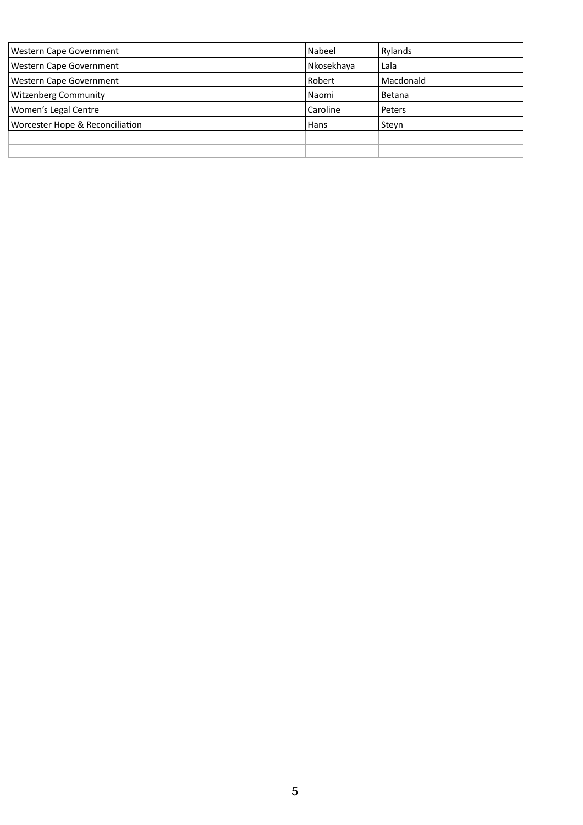| Western Cape Government         | l Nabeel   | <b>Rylands</b> |
|---------------------------------|------------|----------------|
| Western Cape Government         | Nkosekhaya | Lala           |
| Western Cape Government         | Robert     | Macdonald      |
| <b>Witzenberg Community</b>     | l Naomi    | Betana         |
| Women's Legal Centre            | Caroline   | Peters         |
| Worcester Hope & Reconciliation | Hans       | Steyn          |
|                                 |            |                |
|                                 |            |                |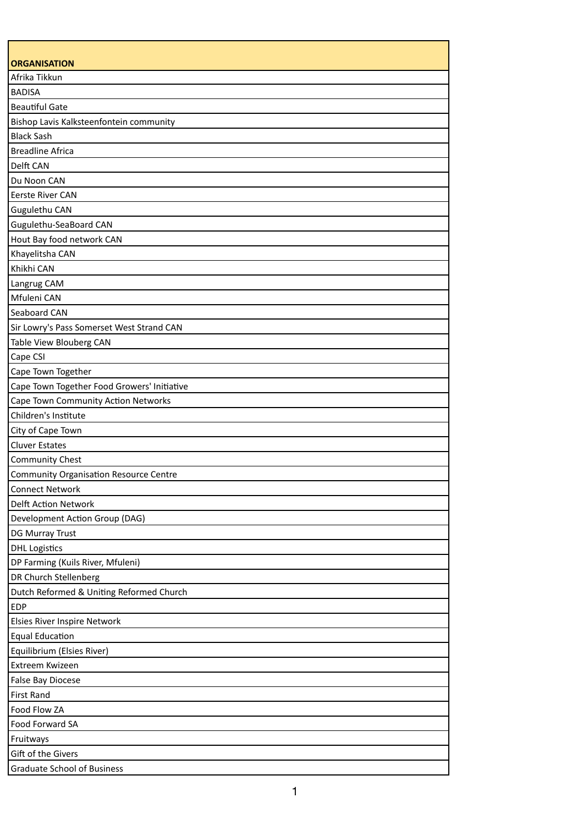| <b>ORGANISATION</b>                           |
|-----------------------------------------------|
| Afrika Tikkun                                 |
| <b>BADISA</b>                                 |
| <b>Beautiful Gate</b>                         |
| Bishop Lavis Kalksteenfontein community       |
| <b>Black Sash</b>                             |
| <b>Breadline Africa</b>                       |
| Delft CAN                                     |
| Du Noon CAN                                   |
| Eerste River CAN                              |
| Gugulethu CAN                                 |
| Gugulethu-SeaBoard CAN                        |
| Hout Bay food network CAN                     |
| Khayelitsha CAN                               |
| Khikhi CAN                                    |
| Langrug CAM                                   |
| Mfuleni CAN                                   |
| Seaboard CAN                                  |
| Sir Lowry's Pass Somerset West Strand CAN     |
| Table View Blouberg CAN                       |
| Cape CSI                                      |
| Cape Town Together                            |
| Cape Town Together Food Growers' Initiative   |
| Cape Town Community Action Networks           |
| Children's Institute                          |
| City of Cape Town                             |
| <b>Cluver Estates</b>                         |
| <b>Community Chest</b>                        |
| <b>Community Organisation Resource Centre</b> |
| <b>Connect Network</b>                        |
| <b>Delft Action Network</b>                   |
| Development Action Group (DAG)                |
| DG Murray Trust                               |
| <b>DHL Logistics</b>                          |
| DP Farming (Kuils River, Mfuleni)             |
| DR Church Stellenberg                         |
| Dutch Reformed & Uniting Reformed Church      |
| <b>EDP</b>                                    |
| Elsies River Inspire Network                  |
| <b>Equal Education</b>                        |
| Equilibrium (Elsies River)                    |
| Extreem Kwizeen                               |
| False Bay Diocese                             |
| <b>First Rand</b>                             |
| Food Flow ZA                                  |
| Food Forward SA                               |
| Fruitways                                     |
| Gift of the Givers                            |
| <b>Graduate School of Business</b>            |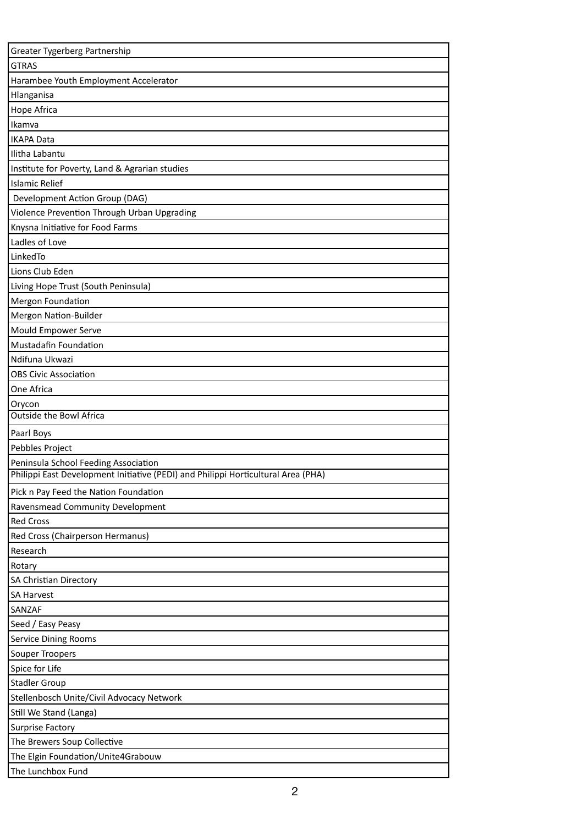| <b>Greater Tygerberg Partnership</b>                                              |
|-----------------------------------------------------------------------------------|
| <b>GTRAS</b>                                                                      |
| Harambee Youth Employment Accelerator                                             |
| Hlanganisa                                                                        |
| Hope Africa                                                                       |
| Ikamva                                                                            |
| <b>IKAPA Data</b>                                                                 |
| Ilitha Labantu                                                                    |
| Institute for Poverty, Land & Agrarian studies                                    |
| <b>Islamic Relief</b>                                                             |
| Development Action Group (DAG)                                                    |
| Violence Prevention Through Urban Upgrading                                       |
| Knysna Initiative for Food Farms                                                  |
| Ladles of Love                                                                    |
| LinkedTo                                                                          |
| Lions Club Eden                                                                   |
| Living Hope Trust (South Peninsula)                                               |
| <b>Mergon Foundation</b>                                                          |
| <b>Mergon Nation-Builder</b>                                                      |
| Mould Empower Serve                                                               |
| Mustadafin Foundation                                                             |
| Ndifuna Ukwazi                                                                    |
| <b>OBS Civic Association</b>                                                      |
| One Africa                                                                        |
| Orycon                                                                            |
| <b>Outside the Bowl Africa</b>                                                    |
| Paarl Boys                                                                        |
| Pebbles Project                                                                   |
| Peninsula School Feeding Association                                              |
| Philippi East Development Initiative (PEDI) and Philippi Horticultural Area (PHA) |
| Pick n Pay Feed the Nation Foundation                                             |
| Ravensmead Community Development                                                  |
| <b>Red Cross</b>                                                                  |
| Red Cross (Chairperson Hermanus)                                                  |
| Research                                                                          |
| Rotary                                                                            |
| SA Christian Directory                                                            |
| <b>SA Harvest</b>                                                                 |
| SANZAF                                                                            |
| Seed / Easy Peasy                                                                 |
| Service Dining Rooms                                                              |
| Souper Troopers                                                                   |
| Spice for Life                                                                    |
| <b>Stadler Group</b>                                                              |
| Stellenbosch Unite/Civil Advocacy Network                                         |
| Still We Stand (Langa)                                                            |
| Surprise Factory                                                                  |
| The Brewers Soup Collective                                                       |
|                                                                                   |
| The Elgin Foundation/Unite4Grabouw<br>The Lunchbox Fund                           |
|                                                                                   |